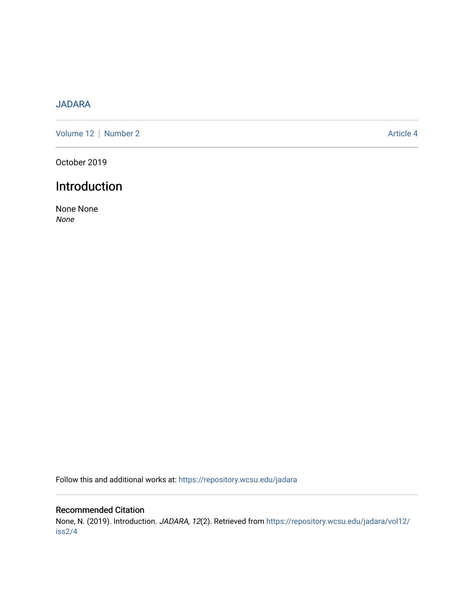## [JADARA](https://repository.wcsu.edu/jadara)

[Volume 12](https://repository.wcsu.edu/jadara/vol12) | [Number 2](https://repository.wcsu.edu/jadara/vol12/iss2) Article 4

October 2019

## Introduction

None None None

Follow this and additional works at: [https://repository.wcsu.edu/jadara](https://repository.wcsu.edu/jadara?utm_source=repository.wcsu.edu%2Fjadara%2Fvol12%2Fiss2%2F4&utm_medium=PDF&utm_campaign=PDFCoverPages)

## Recommended Citation

None, N. (2019). Introduction. JADARA, 12(2). Retrieved from [https://repository.wcsu.edu/jadara/vol12/](https://repository.wcsu.edu/jadara/vol12/iss2/4?utm_source=repository.wcsu.edu%2Fjadara%2Fvol12%2Fiss2%2F4&utm_medium=PDF&utm_campaign=PDFCoverPages) [iss2/4](https://repository.wcsu.edu/jadara/vol12/iss2/4?utm_source=repository.wcsu.edu%2Fjadara%2Fvol12%2Fiss2%2F4&utm_medium=PDF&utm_campaign=PDFCoverPages)